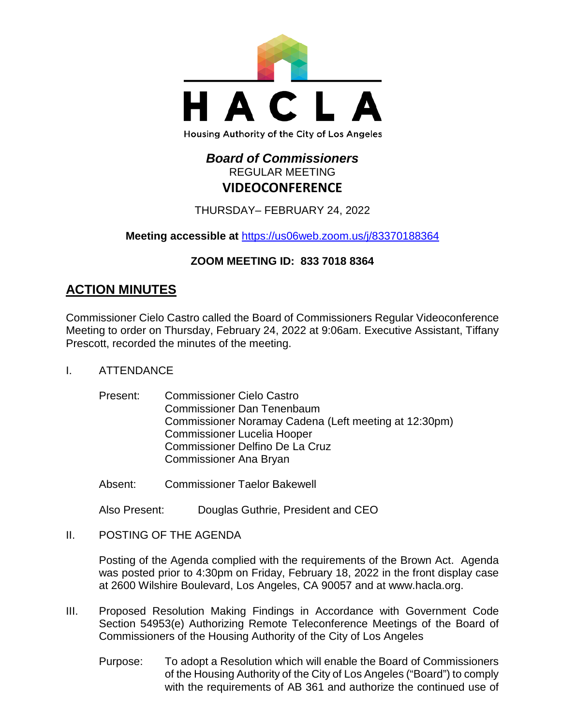

#### Housing Authority of the City of Los Angeles

# *Board of Commissioners* REGULAR MEETING **VIDEOCONFERENCE**

THURSDAY– FEBRUARY 24, 2022

**Meeting accessible at** <https://us06web.zoom.us/j/83370188364>

# **ZOOM MEETING ID: 833 7018 8364**

# **ACTION MINUTES**

Commissioner Cielo Castro called the Board of Commissioners Regular Videoconference Meeting to order on Thursday, February 24, 2022 at 9:06am. Executive Assistant, Tiffany Prescott, recorded the minutes of the meeting.

- I. ATTENDANCE
	- Present: Commissioner Cielo Castro Commissioner Dan Tenenbaum Commissioner Noramay Cadena (Left meeting at 12:30pm) Commissioner Lucelia Hooper Commissioner Delfino De La Cruz Commissioner Ana Bryan
	- Absent: Commissioner Taelor Bakewell

Also Present: Douglas Guthrie, President and CEO

II. POSTING OF THE AGENDA

Posting of the Agenda complied with the requirements of the Brown Act. Agenda was posted prior to 4:30pm on Friday, February 18, 2022 in the front display case at 2600 Wilshire Boulevard, Los Angeles, CA 90057 and at [www.hacla.org.](http://www.hacla.org/)

- III. Proposed Resolution Making Findings in Accordance with Government Code Section 54953(e) Authorizing Remote Teleconference Meetings of the Board of Commissioners of the Housing Authority of the City of Los Angeles
	- Purpose: To adopt a Resolution which will enable the Board of Commissioners of the Housing Authority of the City of Los Angeles ("Board") to comply with the requirements of AB 361 and authorize the continued use of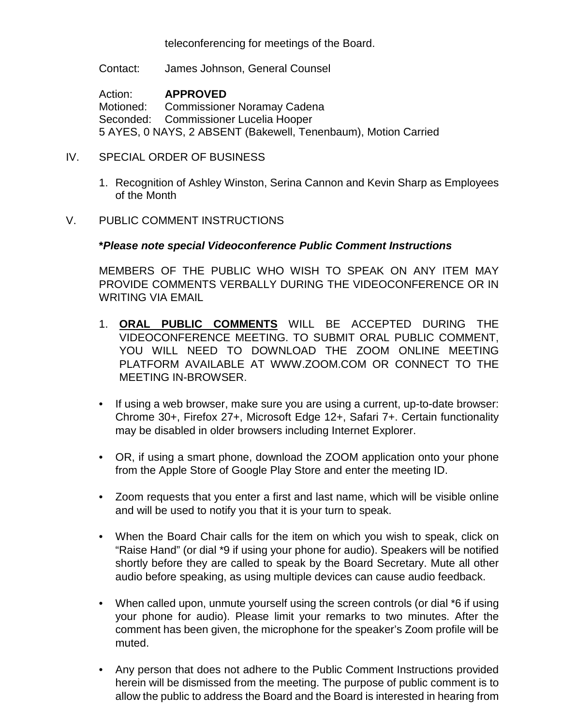teleconferencing for meetings of the Board.

Contact: James Johnson, General Counsel

Action: **APPROVED** Motioned: Commissioner Noramay Cadena Seconded: Commissioner Lucelia Hooper 5 AYES, 0 NAYS, 2 ABSENT (Bakewell, Tenenbaum), Motion Carried

- IV. SPECIAL ORDER OF BUSINESS
	- 1. Recognition of Ashley Winston, Serina Cannon and Kevin Sharp as Employees of the Month

#### V. PUBLIC COMMENT INSTRUCTIONS

#### **\****Please note special Videoconference Public Comment Instructions*

MEMBERS OF THE PUBLIC WHO WISH TO SPEAK ON ANY ITEM MAY PROVIDE COMMENTS VERBALLY DURING THE VIDEOCONFERENCE OR IN WRITING VIA EMAIL

- 1. **ORAL PUBLIC COMMENTS** WILL BE ACCEPTED DURING THE VIDEOCONFERENCE MEETING. TO SUBMIT ORAL PUBLIC COMMENT, YOU WILL NEED TO DOWNLOAD THE ZOOM ONLINE MEETING PLATFORM AVAILABLE AT WWW.ZOOM.COM OR CONNECT TO THE MEETING IN-BROWSER.
- If using a web browser, make sure you are using a current, up-to-date browser: Chrome 30+, Firefox 27+, Microsoft Edge 12+, Safari 7+. Certain functionality may be disabled in older browsers including Internet Explorer.
- OR, if using a smart phone, download the ZOOM application onto your phone from the Apple Store of Google Play Store and enter the meeting ID.
- Zoom requests that you enter a first and last name, which will be visible online and will be used to notify you that it is your turn to speak.
- When the Board Chair calls for the item on which you wish to speak, click on "Raise Hand" (or dial \*9 if using your phone for audio). Speakers will be notified shortly before they are called to speak by the Board Secretary. Mute all other audio before speaking, as using multiple devices can cause audio feedback.
- When called upon, unmute yourself using the screen controls (or dial \*6 if using your phone for audio). Please limit your remarks to two minutes. After the comment has been given, the microphone for the speaker's Zoom profile will be muted.
- Any person that does not adhere to the Public Comment Instructions provided herein will be dismissed from the meeting. The purpose of public comment is to allow the public to address the Board and the Board is interested in hearing from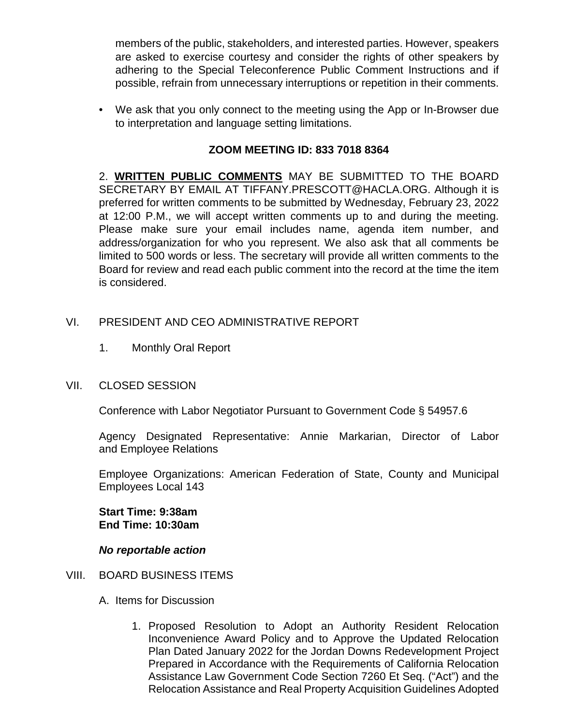members of the public, stakeholders, and interested parties. However, speakers are asked to exercise courtesy and consider the rights of other speakers by adhering to the Special Teleconference Public Comment Instructions and if possible, refrain from unnecessary interruptions or repetition in their comments.

• We ask that you only connect to the meeting using the App or In-Browser due to interpretation and language setting limitations.

# **ZOOM MEETING ID: 833 7018 8364**

2. **WRITTEN PUBLIC COMMENTS** MAY BE SUBMITTED TO THE BOARD SECRETARY BY EMAIL AT TIFFANY.PRESCOTT@HACLA.ORG. Although it is preferred for written comments to be submitted by Wednesday, February 23, 2022 at 12:00 P.M., we will accept written comments up to and during the meeting. Please make sure your email includes name, agenda item number, and address/organization for who you represent. We also ask that all comments be limited to 500 words or less. The secretary will provide all written comments to the Board for review and read each public comment into the record at the time the item is considered.

## VI. PRESIDENT AND CEO ADMINISTRATIVE REPORT

- 1. Monthly Oral Report
- VII. CLOSED SESSION

Conference with Labor Negotiator Pursuant to Government Code § 54957.6

Agency Designated Representative: Annie Markarian, Director of Labor and Employee Relations

Employee Organizations: American Federation of State, County and Municipal Employees Local 143

**Start Time: 9:38am End Time: 10:30am**

### *No reportable action*

- VIII. BOARD BUSINESS ITEMS
	- A. Items for Discussion
		- 1. Proposed Resolution to Adopt an Authority Resident Relocation Inconvenience Award Policy and to Approve the Updated Relocation Plan Dated January 2022 for the Jordan Downs Redevelopment Project Prepared in Accordance with the Requirements of California Relocation Assistance Law Government Code Section 7260 Et Seq. ("Act") and the Relocation Assistance and Real Property Acquisition Guidelines Adopted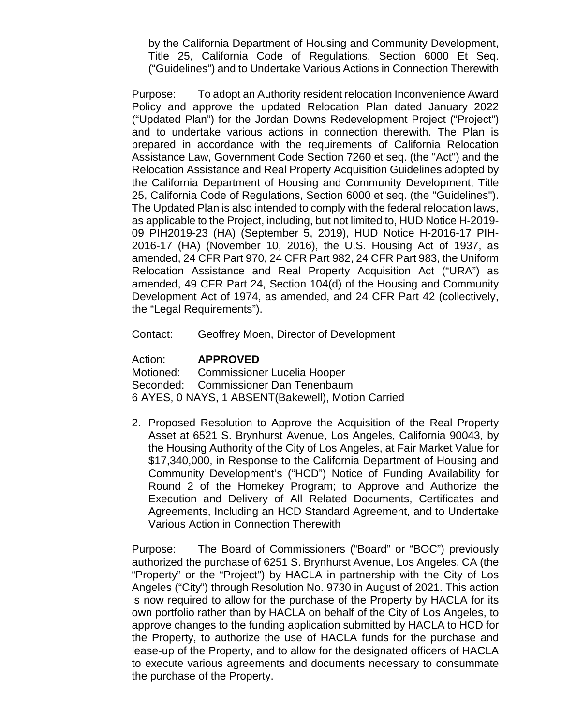by the California Department of Housing and Community Development, Title 25, California Code of Regulations, Section 6000 Et Seq. ("Guidelines") and to Undertake Various Actions in Connection Therewith

Purpose: To adopt an Authority resident relocation Inconvenience Award Policy and approve the updated Relocation Plan dated January 2022 ("Updated Plan") for the Jordan Downs Redevelopment Project ("Project") and to undertake various actions in connection therewith. The Plan is prepared in accordance with the requirements of California Relocation Assistance Law, Government Code Section 7260 et seq. (the "Act") and the Relocation Assistance and Real Property Acquisition Guidelines adopted by the California Department of Housing and Community Development, Title 25, California Code of Regulations, Section 6000 et seq. (the "Guidelines"). The Updated Plan is also intended to comply with the federal relocation laws, as applicable to the Project, including, but not limited to, HUD Notice H-2019- 09 PIH2019-23 (HA) (September 5, 2019), HUD Notice H-2016-17 PIH-2016-17 (HA) (November 10, 2016), the U.S. Housing Act of 1937, as amended, 24 CFR Part 970, 24 CFR Part 982, 24 CFR Part 983, the Uniform Relocation Assistance and Real Property Acquisition Act ("URA") as amended, 49 CFR Part 24, Section 104(d) of the Housing and Community Development Act of 1974, as amended, and 24 CFR Part 42 (collectively, the "Legal Requirements").

Contact: Geoffrey Moen, Director of Development

Action: **APPROVED**

Motioned: Commissioner Lucelia Hooper Seconded: Commissioner Dan Tenenbaum 6 AYES, 0 NAYS, 1 ABSENT(Bakewell), Motion Carried

2. Proposed Resolution to Approve the Acquisition of the Real Property Asset at 6521 S. Brynhurst Avenue, Los Angeles, California 90043, by the Housing Authority of the City of Los Angeles, at Fair Market Value for \$17,340,000, in Response to the California Department of Housing and Community Development's ("HCD") Notice of Funding Availability for Round 2 of the Homekey Program; to Approve and Authorize the Execution and Delivery of All Related Documents, Certificates and Agreements, Including an HCD Standard Agreement, and to Undertake Various Action in Connection Therewith

Purpose: The Board of Commissioners ("Board" or "BOC") previously authorized the purchase of 6251 S. Brynhurst Avenue, Los Angeles, CA (the "Property" or the "Project") by HACLA in partnership with the City of Los Angeles ("City") through Resolution No. 9730 in August of 2021. This action is now required to allow for the purchase of the Property by HACLA for its own portfolio rather than by HACLA on behalf of the City of Los Angeles, to approve changes to the funding application submitted by HACLA to HCD for the Property, to authorize the use of HACLA funds for the purchase and lease-up of the Property, and to allow for the designated officers of HACLA to execute various agreements and documents necessary to consummate the purchase of the Property.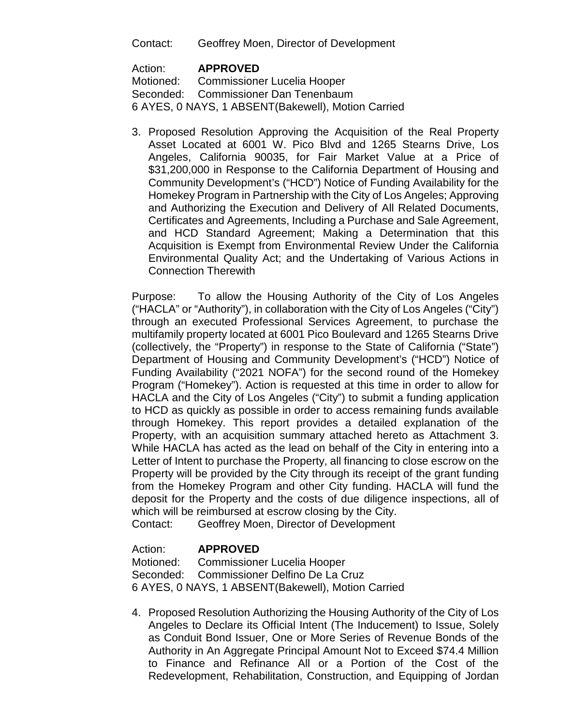Contact: Geoffrey Moen, Director of Development

### Action: **APPROVED**

Motioned: Commissioner Lucelia Hooper Seconded: Commissioner Dan Tenenbaum 6 AYES, 0 NAYS, 1 ABSENT(Bakewell), Motion Carried

3. Proposed Resolution Approving the Acquisition of the Real Property Asset Located at 6001 W. Pico Blvd and 1265 Stearns Drive, Los Angeles, California 90035, for Fair Market Value at a Price of \$31,200,000 in Response to the California Department of Housing and Community Development's ("HCD") Notice of Funding Availability for the Homekey Program in Partnership with the City of Los Angeles; Approving and Authorizing the Execution and Delivery of All Related Documents, Certificates and Agreements, Including a Purchase and Sale Agreement, and HCD Standard Agreement; Making a Determination that this Acquisition is Exempt from Environmental Review Under the California Environmental Quality Act; and the Undertaking of Various Actions in Connection Therewith

Purpose: To allow the Housing Authority of the City of Los Angeles ("HACLA" or "Authority"), in collaboration with the City of Los Angeles ("City") through an executed Professional Services Agreement, to purchase the multifamily property located at 6001 Pico Boulevard and 1265 Stearns Drive (collectively, the "Property") in response to the State of California ("State") Department of Housing and Community Development's ("HCD") Notice of Funding Availability ("2021 NOFA") for the second round of the Homekey Program ("Homekey"). Action is requested at this time in order to allow for HACLA and the City of Los Angeles ("City") to submit a funding application to HCD as quickly as possible in order to access remaining funds available through Homekey. This report provides a detailed explanation of the Property, with an acquisition summary attached hereto as Attachment 3. While HACLA has acted as the lead on behalf of the City in entering into a Letter of Intent to purchase the Property, all financing to close escrow on the Property will be provided by the City through its receipt of the grant funding from the Homekey Program and other City funding. HACLA will fund the deposit for the Property and the costs of due diligence inspections, all of which will be reimbursed at escrow closing by the City.

Contact: Geoffrey Moen, Director of Development

### Action: **APPROVED**

Motioned: Commissioner Lucelia Hooper Seconded: Commissioner Delfino De La Cruz 6 AYES, 0 NAYS, 1 ABSENT(Bakewell), Motion Carried

4. Proposed Resolution Authorizing the Housing Authority of the City of Los Angeles to Declare its Official Intent (The Inducement) to Issue, Solely as Conduit Bond Issuer, One or More Series of Revenue Bonds of the Authority in An Aggregate Principal Amount Not to Exceed \$74.4 Million to Finance and Refinance All or a Portion of the Cost of the Redevelopment, Rehabilitation, Construction, and Equipping of Jordan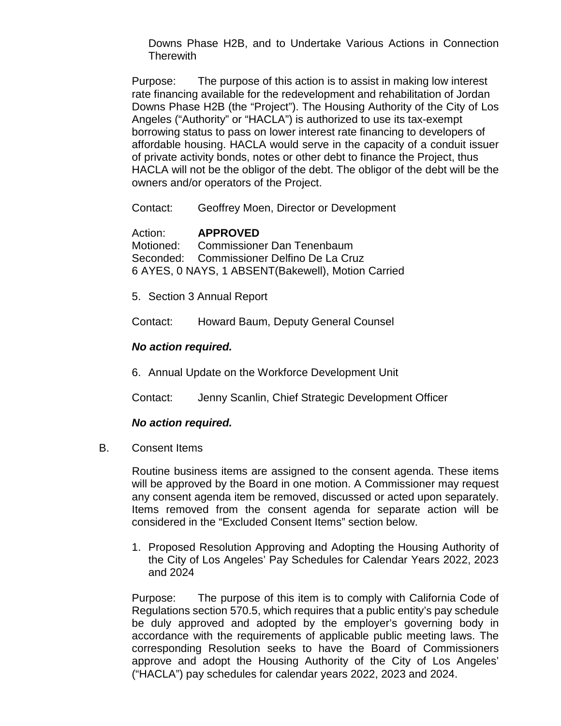Downs Phase H2B, and to Undertake Various Actions in Connection **Therewith** 

Purpose: The purpose of this action is to assist in making low interest rate financing available for the redevelopment and rehabilitation of Jordan Downs Phase H2B (the "Project"). The Housing Authority of the City of Los Angeles ("Authority" or "HACLA") is authorized to use its tax-exempt borrowing status to pass on lower interest rate financing to developers of affordable housing. HACLA would serve in the capacity of a conduit issuer of private activity bonds, notes or other debt to finance the Project, thus HACLA will not be the obligor of the debt. The obligor of the debt will be the owners and/or operators of the Project.

Contact: Geoffrey Moen, Director or Development

Action: **APPROVED** Motioned: Commissioner Dan Tenenbaum Seconded: Commissioner Delfino De La Cruz

6 AYES, 0 NAYS, 1 ABSENT(Bakewell), Motion Carried

5. Section 3 Annual Report

Contact: Howard Baum, Deputy General Counsel

#### *No action required.*

6. Annual Update on the Workforce Development Unit

Contact: Jenny Scanlin, Chief Strategic Development Officer

#### *No action required.*

B. Consent Items

Routine business items are assigned to the consent agenda. These items will be approved by the Board in one motion. A Commissioner may request any consent agenda item be removed, discussed or acted upon separately. Items removed from the consent agenda for separate action will be considered in the "Excluded Consent Items" section below.

1. Proposed Resolution Approving and Adopting the Housing Authority of the City of Los Angeles' Pay Schedules for Calendar Years 2022, 2023 and 2024

Purpose: The purpose of this item is to comply with California Code of Regulations section 570.5, which requires that a public entity's pay schedule be duly approved and adopted by the employer's governing body in accordance with the requirements of applicable public meeting laws. The corresponding Resolution seeks to have the Board of Commissioners approve and adopt the Housing Authority of the City of Los Angeles' ("HACLA") pay schedules for calendar years 2022, 2023 and 2024.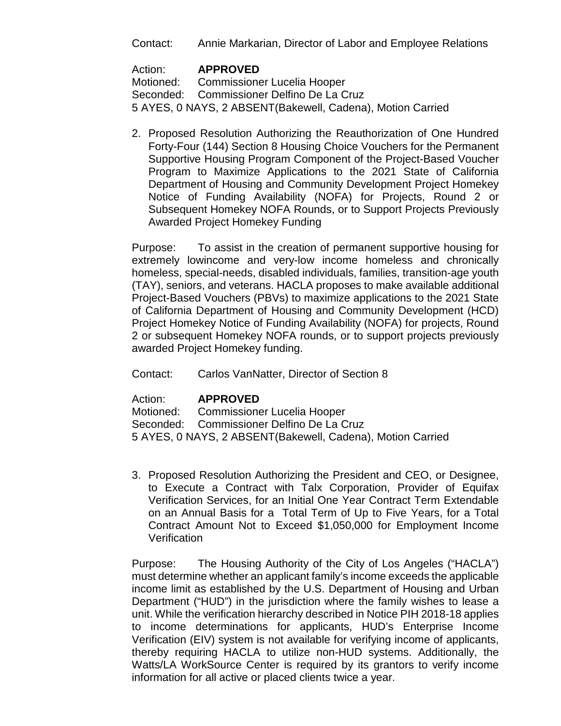Contact: Annie Markarian, Director of Labor and Employee Relations

Action: **APPROVED**<br>Motioned: Commissione Commissioner Lucelia Hooper Seconded: Commissioner Delfino De La Cruz 5 AYES, 0 NAYS, 2 ABSENT(Bakewell, Cadena), Motion Carried

2. Proposed Resolution Authorizing the Reauthorization of One Hundred Forty-Four (144) Section 8 Housing Choice Vouchers for the Permanent Supportive Housing Program Component of the Project-Based Voucher Program to Maximize Applications to the 2021 State of California Department of Housing and Community Development Project Homekey Notice of Funding Availability (NOFA) for Projects, Round 2 or Subsequent Homekey NOFA Rounds, or to Support Projects Previously Awarded Project Homekey Funding

Purpose: To assist in the creation of permanent supportive housing for extremely lowincome and very-low income homeless and chronically homeless, special-needs, disabled individuals, families, transition-age youth (TAY), seniors, and veterans. HACLA proposes to make available additional Project-Based Vouchers (PBVs) to maximize applications to the 2021 State of California Department of Housing and Community Development (HCD) Project Homekey Notice of Funding Availability (NOFA) for projects, Round 2 or subsequent Homekey NOFA rounds, or to support projects previously awarded Project Homekey funding.

Contact: Carlos VanNatter, Director of Section 8

### Action: **APPROVED**

Motioned: Commissioner Lucelia Hooper Seconded: Commissioner Delfino De La Cruz 5 AYES, 0 NAYS, 2 ABSENT(Bakewell, Cadena), Motion Carried

3. Proposed Resolution Authorizing the President and CEO, or Designee, to Execute a Contract with Talx Corporation, Provider of Equifax Verification Services, for an Initial One Year Contract Term Extendable on an Annual Basis for a Total Term of Up to Five Years, for a Total Contract Amount Not to Exceed \$1,050,000 for Employment Income **Verification** 

Purpose: The Housing Authority of the City of Los Angeles ("HACLA") must determine whether an applicant family's income exceeds the applicable income limit as established by the U.S. Department of Housing and Urban Department ("HUD") in the jurisdiction where the family wishes to lease a unit. While the verification hierarchy described in Notice PIH 2018-18 applies to income determinations for applicants, HUD's Enterprise Income Verification (EIV) system is not available for verifying income of applicants, thereby requiring HACLA to utilize non-HUD systems. Additionally, the Watts/LA WorkSource Center is required by its grantors to verify income information for all active or placed clients twice a year.